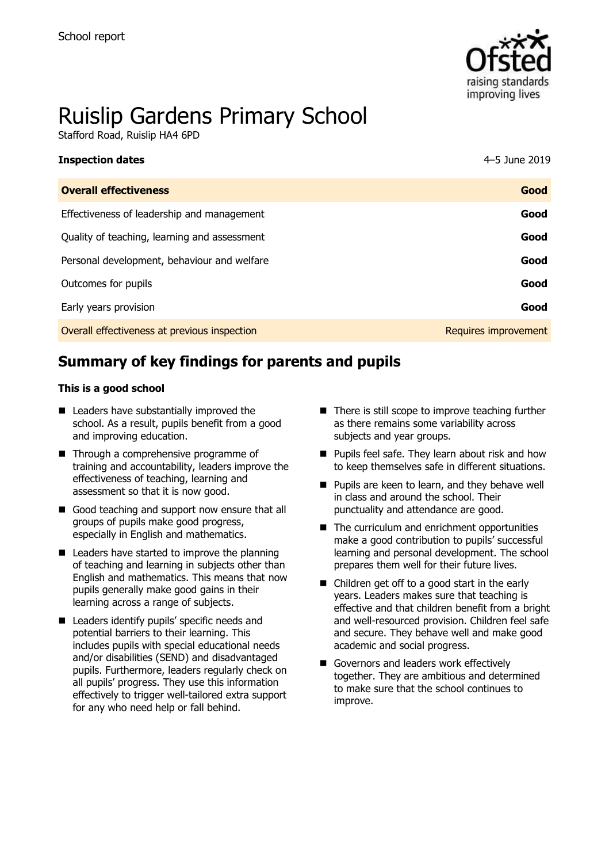

# Ruislip Gardens Primary School

Stafford Road, Ruislip HA4 6PD

| <b>Inspection dates</b>                      | 4-5 June 2019        |
|----------------------------------------------|----------------------|
| <b>Overall effectiveness</b>                 | Good                 |
| Effectiveness of leadership and management   | Good                 |
| Quality of teaching, learning and assessment | Good                 |
| Personal development, behaviour and welfare  | Good                 |
| Outcomes for pupils                          | Good                 |
| Early years provision                        | Good                 |
| Overall effectiveness at previous inspection | Requires improvement |

# **Summary of key findings for parents and pupils**

#### **This is a good school**

- Leaders have substantially improved the school. As a result, pupils benefit from a good and improving education.
- Through a comprehensive programme of training and accountability, leaders improve the effectiveness of teaching, learning and assessment so that it is now good.
- Good teaching and support now ensure that all groups of pupils make good progress, especially in English and mathematics.
- Leaders have started to improve the planning of teaching and learning in subjects other than English and mathematics. This means that now pupils generally make good gains in their learning across a range of subjects.
- Leaders identify pupils' specific needs and potential barriers to their learning. This includes pupils with special educational needs and/or disabilities (SEND) and disadvantaged pupils. Furthermore, leaders regularly check on all pupils' progress. They use this information effectively to trigger well-tailored extra support for any who need help or fall behind.
- There is still scope to improve teaching further as there remains some variability across subjects and year groups.
- Pupils feel safe. They learn about risk and how to keep themselves safe in different situations.
- Pupils are keen to learn, and they behave well in class and around the school. Their punctuality and attendance are good.
- The curriculum and enrichment opportunities make a good contribution to pupils' successful learning and personal development. The school prepares them well for their future lives.
- Children get off to a good start in the early years. Leaders makes sure that teaching is effective and that children benefit from a bright and well-resourced provision. Children feel safe and secure. They behave well and make good academic and social progress.
- Governors and leaders work effectively together. They are ambitious and determined to make sure that the school continues to improve.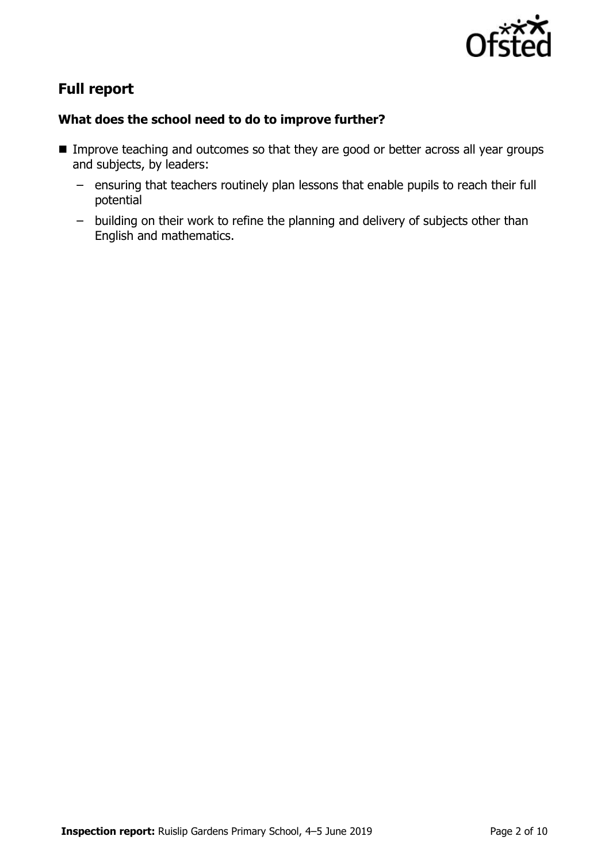

# **Full report**

### **What does the school need to do to improve further?**

- Improve teaching and outcomes so that they are good or better across all year groups and subjects, by leaders:
	- ensuring that teachers routinely plan lessons that enable pupils to reach their full potential
	- building on their work to refine the planning and delivery of subjects other than English and mathematics.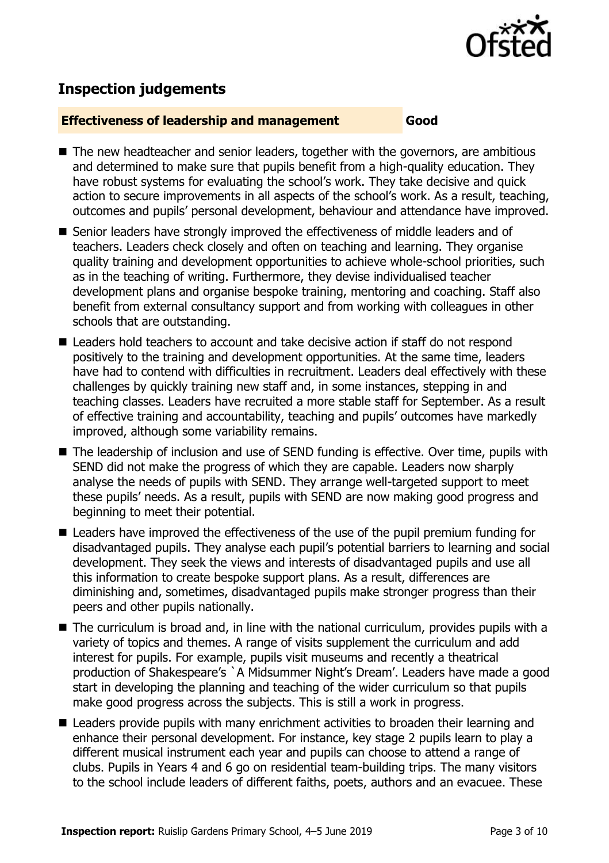

# **Inspection judgements**

#### **Effectiveness of leadership and management Good**

- The new headteacher and senior leaders, together with the governors, are ambitious and determined to make sure that pupils benefit from a high-quality education. They have robust systems for evaluating the school's work. They take decisive and quick action to secure improvements in all aspects of the school's work. As a result, teaching, outcomes and pupils' personal development, behaviour and attendance have improved.
- Senior leaders have strongly improved the effectiveness of middle leaders and of teachers. Leaders check closely and often on teaching and learning. They organise quality training and development opportunities to achieve whole-school priorities, such as in the teaching of writing. Furthermore, they devise individualised teacher development plans and organise bespoke training, mentoring and coaching. Staff also benefit from external consultancy support and from working with colleagues in other schools that are outstanding.
- Leaders hold teachers to account and take decisive action if staff do not respond positively to the training and development opportunities. At the same time, leaders have had to contend with difficulties in recruitment. Leaders deal effectively with these challenges by quickly training new staff and, in some instances, stepping in and teaching classes. Leaders have recruited a more stable staff for September. As a result of effective training and accountability, teaching and pupils' outcomes have markedly improved, although some variability remains.
- The leadership of inclusion and use of SEND funding is effective. Over time, pupils with SEND did not make the progress of which they are capable. Leaders now sharply analyse the needs of pupils with SEND. They arrange well-targeted support to meet these pupils' needs. As a result, pupils with SEND are now making good progress and beginning to meet their potential.
- Leaders have improved the effectiveness of the use of the pupil premium funding for disadvantaged pupils. They analyse each pupil's potential barriers to learning and social development. They seek the views and interests of disadvantaged pupils and use all this information to create bespoke support plans. As a result, differences are diminishing and, sometimes, disadvantaged pupils make stronger progress than their peers and other pupils nationally.
- The curriculum is broad and, in line with the national curriculum, provides pupils with a variety of topics and themes. A range of visits supplement the curriculum and add interest for pupils. For example, pupils visit museums and recently a theatrical production of Shakespeare's `A Midsummer Night's Dream'. Leaders have made a good start in developing the planning and teaching of the wider curriculum so that pupils make good progress across the subjects. This is still a work in progress.
- Leaders provide pupils with many enrichment activities to broaden their learning and enhance their personal development. For instance, key stage 2 pupils learn to play a different musical instrument each year and pupils can choose to attend a range of clubs. Pupils in Years 4 and 6 go on residential team-building trips. The many visitors to the school include leaders of different faiths, poets, authors and an evacuee. These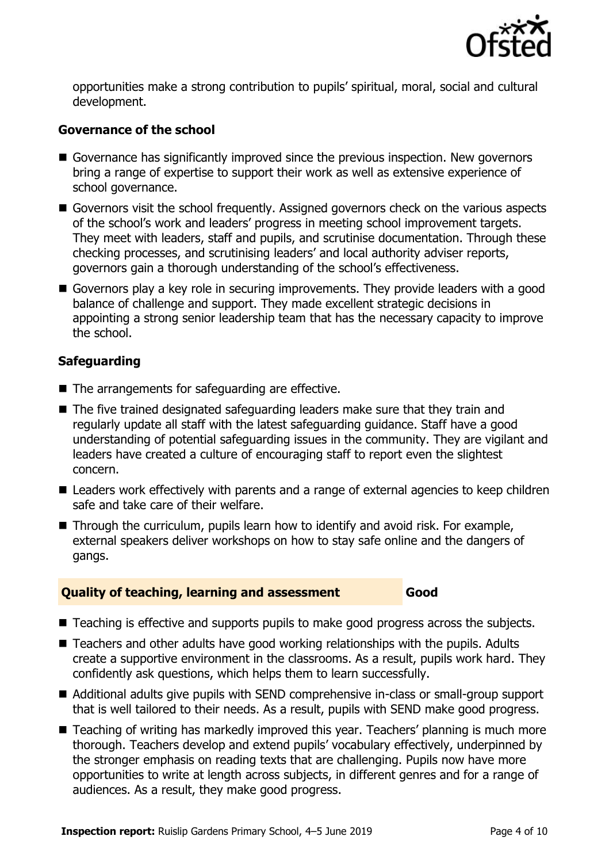

opportunities make a strong contribution to pupils' spiritual, moral, social and cultural development.

### **Governance of the school**

- Governance has significantly improved since the previous inspection. New governors bring a range of expertise to support their work as well as extensive experience of school governance.
- Governors visit the school frequently. Assigned governors check on the various aspects of the school's work and leaders' progress in meeting school improvement targets. They meet with leaders, staff and pupils, and scrutinise documentation. Through these checking processes, and scrutinising leaders' and local authority adviser reports, governors gain a thorough understanding of the school's effectiveness.
- Governors play a key role in securing improvements. They provide leaders with a good balance of challenge and support. They made excellent strategic decisions in appointing a strong senior leadership team that has the necessary capacity to improve the school.

### **Safeguarding**

- The arrangements for safeguarding are effective.
- The five trained designated safeguarding leaders make sure that they train and regularly update all staff with the latest safeguarding guidance. Staff have a good understanding of potential safeguarding issues in the community. They are vigilant and leaders have created a culture of encouraging staff to report even the slightest concern.
- Leaders work effectively with parents and a range of external agencies to keep children safe and take care of their welfare.
- Through the curriculum, pupils learn how to identify and avoid risk. For example, external speakers deliver workshops on how to stay safe online and the dangers of gangs.

#### **Quality of teaching, learning and assessment Good**

- Teaching is effective and supports pupils to make good progress across the subjects.
- Teachers and other adults have good working relationships with the pupils. Adults create a supportive environment in the classrooms. As a result, pupils work hard. They confidently ask questions, which helps them to learn successfully.
- Additional adults give pupils with SEND comprehensive in-class or small-group support that is well tailored to their needs. As a result, pupils with SEND make good progress.
- Teaching of writing has markedly improved this year. Teachers' planning is much more thorough. Teachers develop and extend pupils' vocabulary effectively, underpinned by the stronger emphasis on reading texts that are challenging. Pupils now have more opportunities to write at length across subjects, in different genres and for a range of audiences. As a result, they make good progress.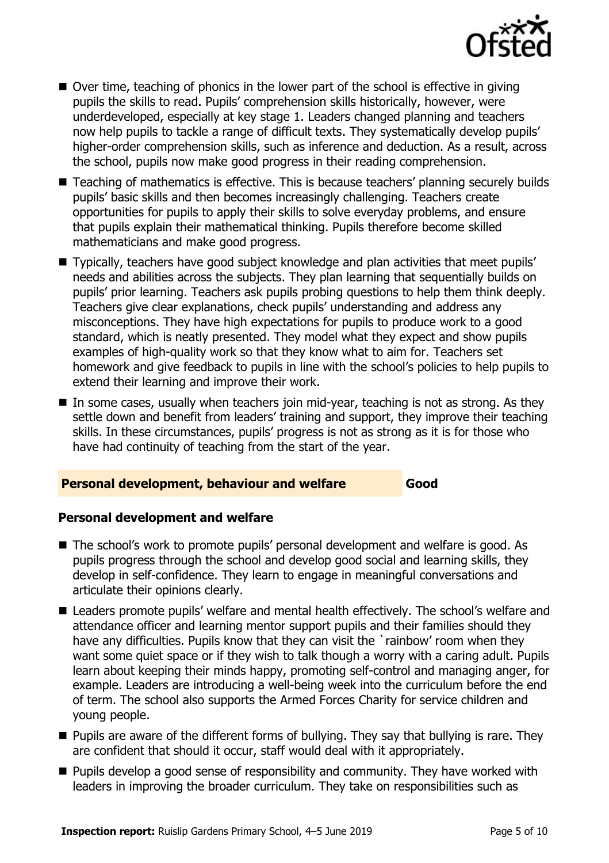

- Over time, teaching of phonics in the lower part of the school is effective in giving pupils the skills to read. Pupils' comprehension skills historically, however, were underdeveloped, especially at key stage 1. Leaders changed planning and teachers now help pupils to tackle a range of difficult texts. They systematically develop pupils' higher-order comprehension skills, such as inference and deduction. As a result, across the school, pupils now make good progress in their reading comprehension.
- Teaching of mathematics is effective. This is because teachers' planning securely builds pupils' basic skills and then becomes increasingly challenging. Teachers create opportunities for pupils to apply their skills to solve everyday problems, and ensure that pupils explain their mathematical thinking. Pupils therefore become skilled mathematicians and make good progress.
- Typically, teachers have good subject knowledge and plan activities that meet pupils' needs and abilities across the subjects. They plan learning that sequentially builds on pupils' prior learning. Teachers ask pupils probing questions to help them think deeply. Teachers give clear explanations, check pupils' understanding and address any misconceptions. They have high expectations for pupils to produce work to a good standard, which is neatly presented. They model what they expect and show pupils examples of high-quality work so that they know what to aim for. Teachers set homework and give feedback to pupils in line with the school's policies to help pupils to extend their learning and improve their work.
- $\blacksquare$  In some cases, usually when teachers join mid-year, teaching is not as strong. As they settle down and benefit from leaders' training and support, they improve their teaching skills. In these circumstances, pupils' progress is not as strong as it is for those who have had continuity of teaching from the start of the year.

#### **Personal development, behaviour and welfare Good**

#### **Personal development and welfare**

- The school's work to promote pupils' personal development and welfare is good. As pupils progress through the school and develop good social and learning skills, they develop in self-confidence. They learn to engage in meaningful conversations and articulate their opinions clearly.
- Leaders promote pupils' welfare and mental health effectively. The school's welfare and attendance officer and learning mentor support pupils and their families should they have any difficulties. Pupils know that they can visit the `rainbow' room when they want some quiet space or if they wish to talk though a worry with a caring adult. Pupils learn about keeping their minds happy, promoting self-control and managing anger, for example. Leaders are introducing a well-being week into the curriculum before the end of term. The school also supports the Armed Forces Charity for service children and young people.
- Pupils are aware of the different forms of bullying. They say that bullying is rare. They are confident that should it occur, staff would deal with it appropriately.
- Pupils develop a good sense of responsibility and community. They have worked with leaders in improving the broader curriculum. They take on responsibilities such as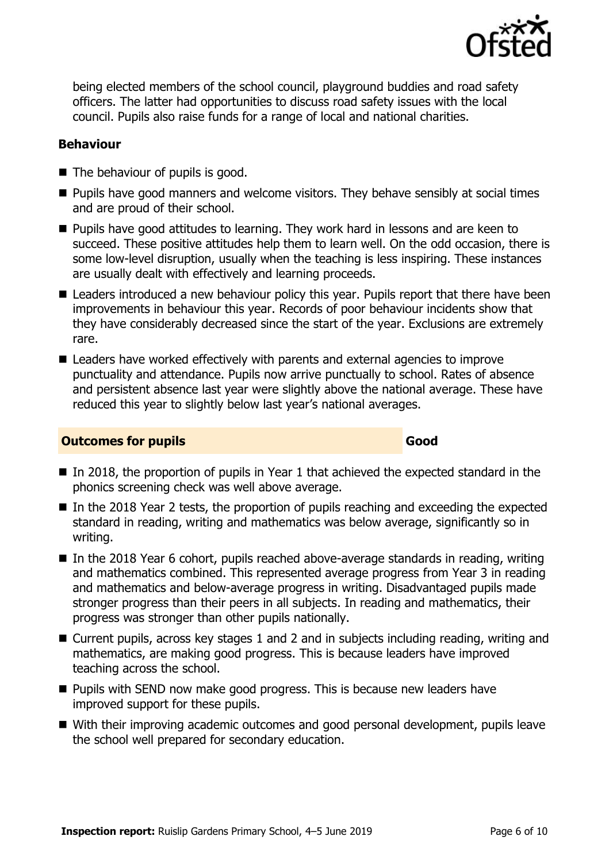

being elected members of the school council, playground buddies and road safety officers. The latter had opportunities to discuss road safety issues with the local council. Pupils also raise funds for a range of local and national charities.

#### **Behaviour**

- The behaviour of pupils is good.
- Pupils have good manners and welcome visitors. They behave sensibly at social times and are proud of their school.
- Pupils have good attitudes to learning. They work hard in lessons and are keen to succeed. These positive attitudes help them to learn well. On the odd occasion, there is some low-level disruption, usually when the teaching is less inspiring. These instances are usually dealt with effectively and learning proceeds.
- Leaders introduced a new behaviour policy this year. Pupils report that there have been improvements in behaviour this year. Records of poor behaviour incidents show that they have considerably decreased since the start of the year. Exclusions are extremely rare.
- Leaders have worked effectively with parents and external agencies to improve punctuality and attendance. Pupils now arrive punctually to school. Rates of absence and persistent absence last year were slightly above the national average. These have reduced this year to slightly below last year's national averages.

#### **Outcomes for pupils Good**

- In 2018, the proportion of pupils in Year 1 that achieved the expected standard in the phonics screening check was well above average.
- In the 2018 Year 2 tests, the proportion of pupils reaching and exceeding the expected standard in reading, writing and mathematics was below average, significantly so in writing.
- In the 2018 Year 6 cohort, pupils reached above-average standards in reading, writing and mathematics combined. This represented average progress from Year 3 in reading and mathematics and below-average progress in writing. Disadvantaged pupils made stronger progress than their peers in all subjects. In reading and mathematics, their progress was stronger than other pupils nationally.
- Current pupils, across key stages 1 and 2 and in subjects including reading, writing and mathematics, are making good progress. This is because leaders have improved teaching across the school.
- Pupils with SEND now make good progress. This is because new leaders have improved support for these pupils.
- With their improving academic outcomes and good personal development, pupils leave the school well prepared for secondary education.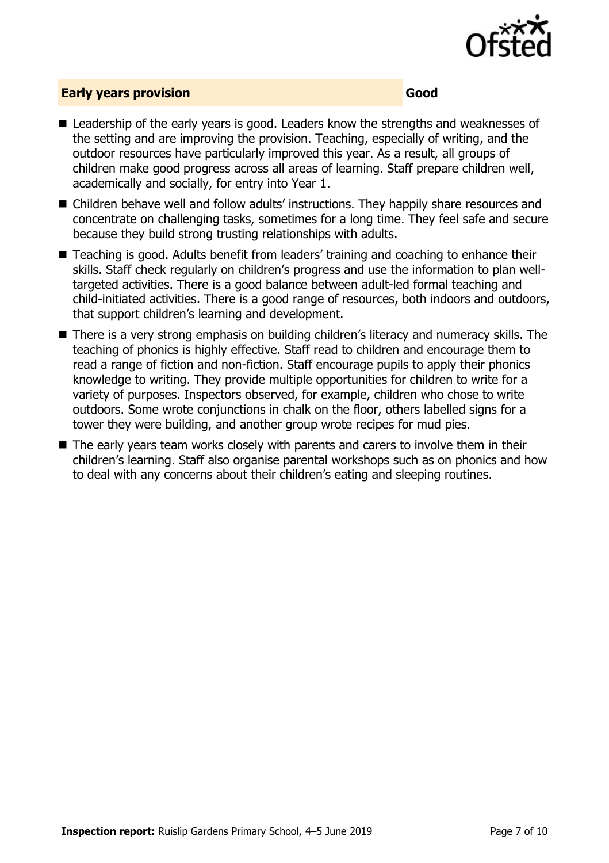

#### **Early years provision Good**

- Leadership of the early years is good. Leaders know the strengths and weaknesses of the setting and are improving the provision. Teaching, especially of writing, and the outdoor resources have particularly improved this year. As a result, all groups of children make good progress across all areas of learning. Staff prepare children well, academically and socially, for entry into Year 1.
- Children behave well and follow adults' instructions. They happily share resources and concentrate on challenging tasks, sometimes for a long time. They feel safe and secure because they build strong trusting relationships with adults.
- Teaching is good. Adults benefit from leaders' training and coaching to enhance their skills. Staff check regularly on children's progress and use the information to plan welltargeted activities. There is a good balance between adult-led formal teaching and child-initiated activities. There is a good range of resources, both indoors and outdoors, that support children's learning and development.
- There is a very strong emphasis on building children's literacy and numeracy skills. The teaching of phonics is highly effective. Staff read to children and encourage them to read a range of fiction and non-fiction. Staff encourage pupils to apply their phonics knowledge to writing. They provide multiple opportunities for children to write for a variety of purposes. Inspectors observed, for example, children who chose to write outdoors. Some wrote conjunctions in chalk on the floor, others labelled signs for a tower they were building, and another group wrote recipes for mud pies.
- The early years team works closely with parents and carers to involve them in their children's learning. Staff also organise parental workshops such as on phonics and how to deal with any concerns about their children's eating and sleeping routines.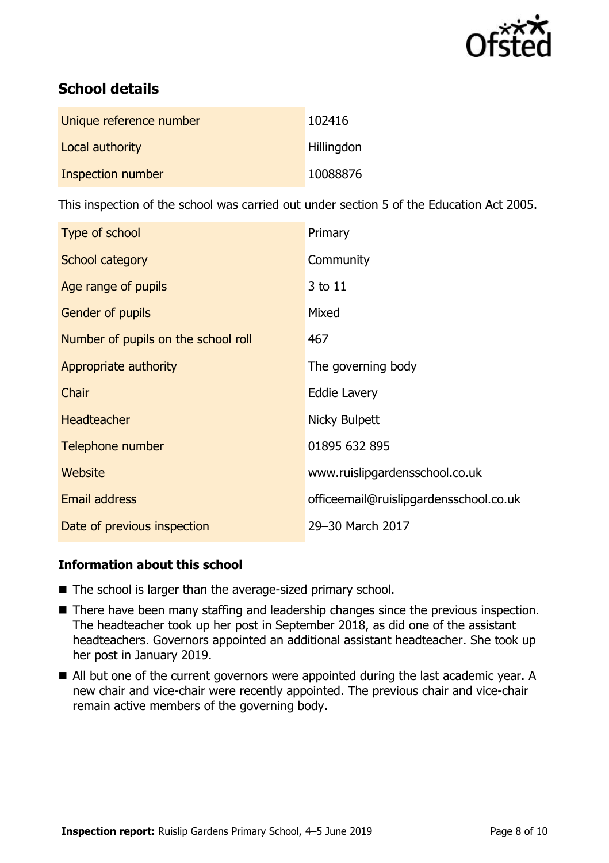

# **School details**

| Unique reference number | 102416     |
|-------------------------|------------|
| Local authority         | Hillingdon |
| Inspection number       | 10088876   |

This inspection of the school was carried out under section 5 of the Education Act 2005.

| Type of school                      | Primary                                |
|-------------------------------------|----------------------------------------|
| School category                     | Community                              |
| Age range of pupils                 | 3 to 11                                |
| Gender of pupils                    | Mixed                                  |
| Number of pupils on the school roll | 467                                    |
| Appropriate authority               | The governing body                     |
| Chair                               | <b>Eddie Lavery</b>                    |
| <b>Headteacher</b>                  | Nicky Bulpett                          |
| Telephone number                    | 01895 632 895                          |
| <b>Website</b>                      | www.ruislipgardensschool.co.uk         |
| <b>Email address</b>                | officeemail@ruislipgardensschool.co.uk |
| Date of previous inspection         | 29-30 March 2017                       |

### **Information about this school**

- The school is larger than the average-sized primary school.
- There have been many staffing and leadership changes since the previous inspection. The headteacher took up her post in September 2018, as did one of the assistant headteachers. Governors appointed an additional assistant headteacher. She took up her post in January 2019.
- All but one of the current governors were appointed during the last academic year. A new chair and vice-chair were recently appointed. The previous chair and vice-chair remain active members of the governing body.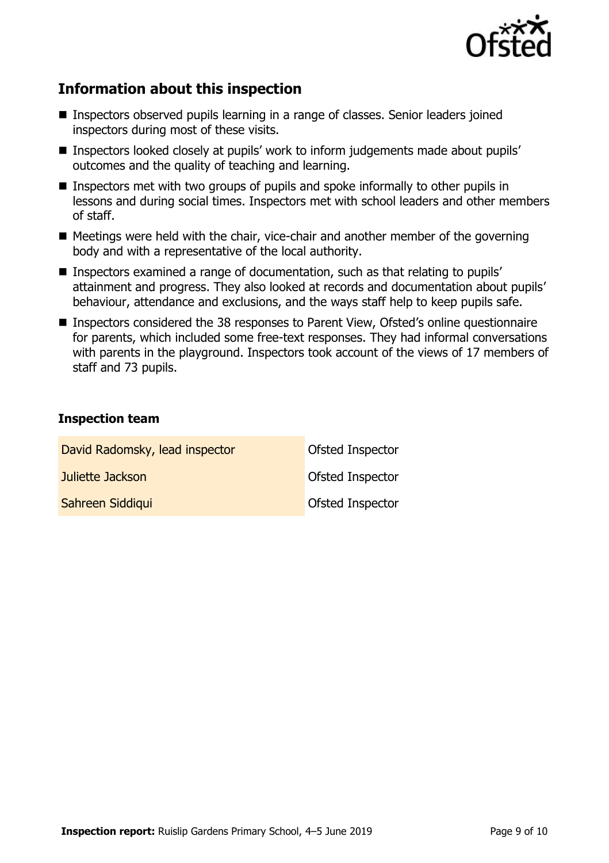

# **Information about this inspection**

- Inspectors observed pupils learning in a range of classes. Senior leaders joined inspectors during most of these visits.
- Inspectors looked closely at pupils' work to inform judgements made about pupils' outcomes and the quality of teaching and learning.
- Inspectors met with two groups of pupils and spoke informally to other pupils in lessons and during social times. Inspectors met with school leaders and other members of staff.
- Meetings were held with the chair, vice-chair and another member of the governing body and with a representative of the local authority.
- Inspectors examined a range of documentation, such as that relating to pupils' attainment and progress. They also looked at records and documentation about pupils' behaviour, attendance and exclusions, and the ways staff help to keep pupils safe.
- Inspectors considered the 38 responses to Parent View, Ofsted's online questionnaire for parents, which included some free-text responses. They had informal conversations with parents in the playground. Inspectors took account of the views of 17 members of staff and 73 pupils.

#### **Inspection team**

| David Radomsky, lead inspector | Ofsted Inspector |
|--------------------------------|------------------|
| Juliette Jackson               | Ofsted Inspector |
| Sahreen Siddiqui               | Ofsted Inspector |